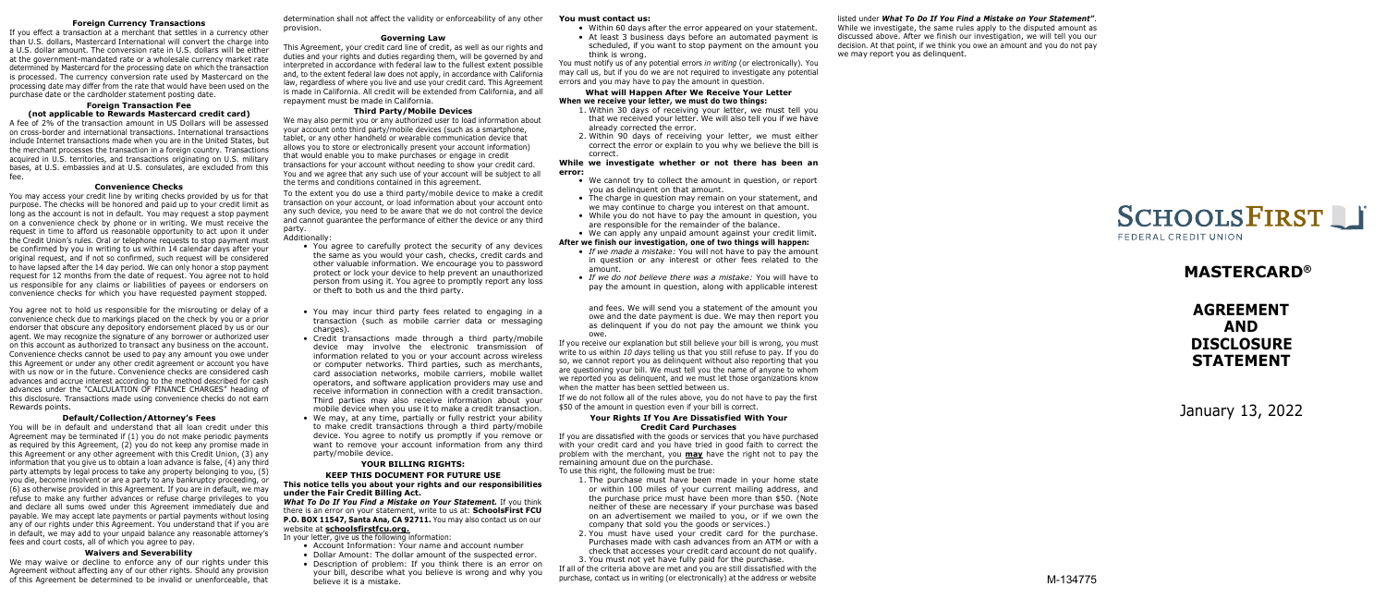#### **Foreign Currency Transactions**

If you effect a transaction at a merchant that settles in a currency other than U.S. dollars, Mastercard International will convert the charge into a U.S. dollar amount. The conversion rate in U.S. dollars will be either at the government-mandated rate or a wholesale currency market rate determined by Mastercard for the processing date on which the transaction is processed. The currency conversion rate used by Mastercard on the processing date may differ from the rate that would have been used on the purchase date or the cardholder statement posting date.

#### **Foreign Transaction Fee (not applicable to Rewards Mastercard credit card)**

A fee of 2% of the transaction amount in US Dollars will be assessed on cross-border and international transactions. International transactions include Internet transactions made when you are in the United States, but the merchant processes the transaction in a foreign country. Transactions acquired in U.S. territories, and transactions originating on U.S. military bases, at U.S. embassies and at U.S. consulates, are excluded from this fee.

#### **Convenience Checks**

You may access your credit line by writing checks provided by us for that purpose. The checks will be honored and paid up to your credit limit as long as the account is not in default. You may request a stop payment on a convenience check by phone or in writing. We must receive the request in time to afford us reasonable opportunity to act upon it under the Credit Union's rules. Oral or telephone requests to stop payment must be confirmed by you in writing to us within 14 calendar days after your original request, and if not so confirmed, such request will be considered to have lapsed after the 14 day period. We can only honor a stop payment request for 12 months from the date of request. You agree not to hold us responsible for any claims or liabilities of payees or endorsers on convenience checks for which you have requested payment stopped.

determination shall not affect the validity or enforceability of any other provision.

#### **Governing Law**

This Agreement, your credit card line of credit, as well as our rights and duties and your rights and duties regarding them, will be governed by and interpreted in accordance with federal law to the fullest extent possible and, to the extent federal law does not apply, in accordance with California law, regardless of where you live and use your credit card. This Agreement is made in California. All credit will be extended from California, and all repayment must be made in California.

#### **Third Party/Mobile Devices**

We may also permit you or any authorized user to load information about your account onto third party/mobile devices (such as a smartphone, tablet, or any other handheld or wearable communication device that allows you to store or electronically present your account information) that would enable you to make purchases or engage in credit transactions for your account without needing to show your credit card. You and we agree that any such use of your account will be subject to all the terms and conditions contained in this agreement.

To the extent you do use a third party/mobile device to make a credit transaction on your account, or load information about your account onto any such device, you need to be aware that we do not control the device and cannot guarantee the performance of either the device or any third party.

#### Additionally:

#### **You must contact us:**

- Within 60 days after the error appeared on your statement.
- At least 3 business days before an automated payment is scheduled, if you want to stop payment on the amount you think is wrong.

You must notify us of any potential errors *in writing* (or electronically). You may call us, but if you do we are not required to investigate any potential errors and you may have to pay the amount in question.

#### **What will Happen After We Receive Your Letter When we receive your letter, we must do two things:**

- 1. Within 30 days of receiving your letter, we must tell you that we received your letter. We will also tell you if we have already corrected the error.
- 2. Within 90 days of receiving your letter, we must either correct the error or explain to you why we believe the bill is correct.

#### **While we investigate whether or not there has been an error:**

- We cannot try to collect the amount in question, or report you as delinquent on that amount.
- The charge in question may remain on your statement, and we may continue to charge you interest on that amount.
- While you do not have to pay the amount in question, you are responsible for the remainder of the balance.
- We can apply any unpaid amount against your credit limit.

#### **After we finish our investigation, one of two things will happen:**

- • *If we made a mistake:* You will not have to pay the amount in question or any interest or other fees related to the amount.
- *If we do not believe there was a mistake:* You will have to pay the amount in question, along with applicable interest

# listed under *What To Do If You Find a Mistake on Your Statement´*.

While we investigate, the same rules apply to the disputed amount as discussed above. After we finish our investigation, we will tell you our decision. At that point, if we think you owe an amount and you do not pay we may report you as delinquent.



# **MASTERCARD®**

- You agree to carefully protect the security of any devices the same as you would your cash, checks, credit cards and other valuable information. We encourage you to password protect or lock your device to help prevent an unauthorized person from using it. You agree to promptly report any loss or theft to both us and the third party.
- You may incur third party fees related to engaging in a transaction (such as mobile carrier data or messaging charges).
- Credit transactions made through a third party/mobile device may involve the electronic transmission of information related to you or your account across wireless or computer networks. Third parties, such as merchants, card association networks, mobile carriers, mobile wallet operators, and software application providers may use and receive information in connection with a credit transaction. Third parties may also receive information about your mobile device when you use it to make a credit transaction.
- We may, at any time, partially or fully restrict your ability to make credit transactions through a third party/mobile device. You agree to notify us promptly if you remove or want to remove your account information from any third party/mobile device.

You agree not to hold us responsible for the misrouting or delay of a convenience check due to markings placed on the check by you or a prior endorser that obscure any depository endorsement placed by us or our agent. We may recognize the signature of any borrower or authorized user on this account as authorized to transact any business on the account. Convenience checks cannot be used to pay any amount you owe under this Agreement or under any other credit agreement or account you have with us now or in the future. Convenience checks are considered cash advances and accrue interest according to the method described for cash advances under the "CALCULATION OF FINANCE CHARGES" heading of this disclosure. Transactions made using convenience checks do not earn Rewards points.

#### **Default/Collection/Attorney's Fees**

You will be in default and understand that all loan credit under this Agreement may be terminated if (1) you do not make periodic payments as required by this Agreement, (2) you do not keep any promise made in this Agreement or any other agreement with this Credit Union, (3) any information that you give us to obtain a loan advance is false, (4) any third party attempts by legal process to take any property belonging to you, (5) you die, become insolvent or are a party to any bankruptcy proceeding, or (6) as otherwise provided in this Agreement. If you are in default, we may refuse to make any further advances or refuse charge privileges to you and declare all sums owed under this Agreement immediately due and payable. We may accept late payments or partial payments without losing any of our rights under this Agreement. You understand that if you are in default, we may add to your unpaid balance any reasonable attorney's fees and court costs, all of which you agree to pay.

## **Waivers and Severability**

We may waive or decline to enforce any of our rights under this Agreement without affecting any of our other rights. Should any provision of this Agreement be determined to be invalid or unenforceable, that

# **YOUR BILLING RIGHTS:**

### **KEEP THIS DOCUMENT FOR FUTURE USE This notice tells you about your rights and our responsibilities under the Fair Credit Billing Act.**

*What To Do If You Find a Mistake on Your Statement.* If you think there is an error on your statement, write to us at: **SchoolsFirst FCU** P.O. BOX 11547, Santa Ana, CA 92711. You may also contact us on our website at **schoolsfirstfcu.org.**

In your letter, give us the following information:

- Account Information: Your name and account number
- Dollar Amount: The dollar amount of the suspected error.
- Description of problem: If you think there is an error on your bill, describe what you believe is wrong and why you believe it is a mistake.

and fees. We will send you a statement of the amount you owe and the date payment is due. We may then report you as delinquent if you do not pay the amount we think you owe.

If you receive our explanation but still believe your bill is wrong, you must write to us within *10 days* telling us that you still refuse to pay. If you do so, we cannot report you as delinguent without also reporting that you are questioning your bill. We must tell you the name of anyone to whom we reported you as delinquent, and we must let those organizations know when the matter has been settled between us.

If we do not follow all of the rules above, you do not have to pay the first \$50 of the amount in question even if your bill is correct.

#### **Your Rights If You Are Dissatisfied With Your Credit Card Purchases**

If you are dissatisfied with the goods or services that you have purchased with your credit card and you have tried in good faith to correct the problem with the merchant, you **may** have the right not to pay the remaining amount due on the purchase. To use this right, the following must be true:

- 1. The purchase must have been made in your home state or within 100 miles of your current mailing address, and the purchase price must have been more than \$50. (Note neither of these are necessary if your purchase was based on an advertisement we mailed to you, or if we own the company that sold you the goods or services.)
- 2. You must have used your credit card for the purchase. Purchases made with cash advances from an ATM or with a check that accesses your credit card account do not qualify. 3. You must not yet have fully paid for the purchase.

If all of the criteria above are met and you are still dissatisfied with the purchase, contact us in writing (or electronically) at the address or website

# **AGREEMENT AND DISCLOSURE STATEMENT**

January 13, 2022

M-134775